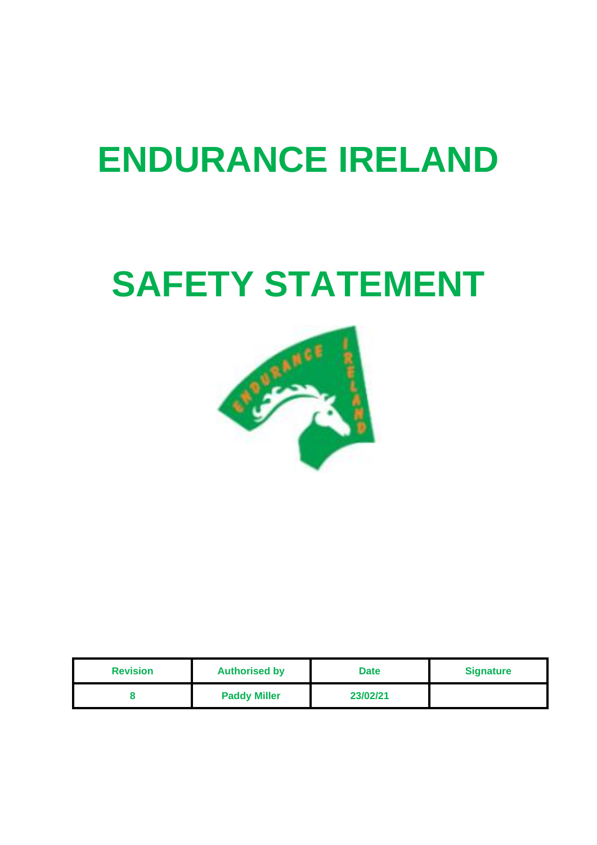# **ENDURANCE IRELAND**

# **SAFETY STATEMENT**



| <b>Revision</b> | <b>Authorised by</b> | <b>Date</b> | <b>Signature</b> |
|-----------------|----------------------|-------------|------------------|
|                 | <b>Paddy Miller</b>  | 23/02/21    |                  |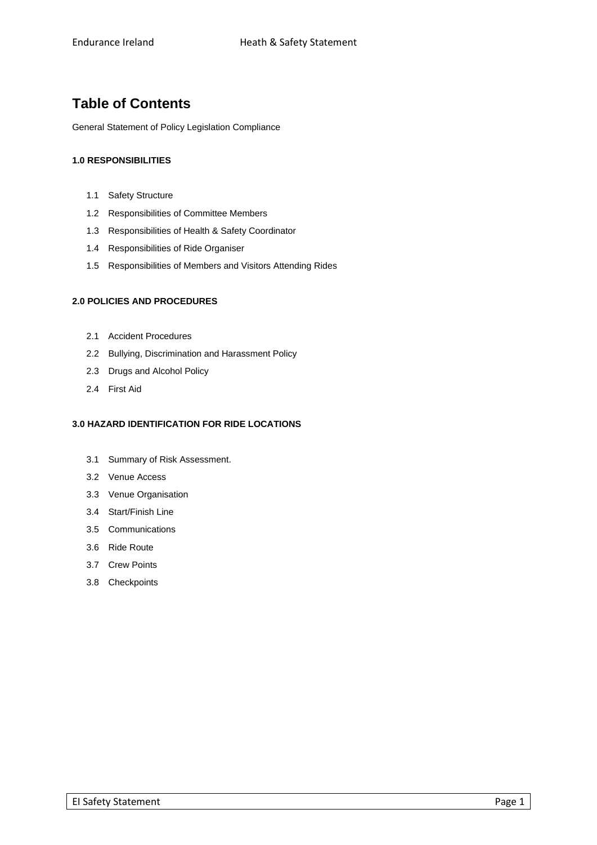## **Table of Contents**

General Statement of Policy Legislation Compliance

#### **1.0 RESPONSIBILITIES**

- 1.1 Safety Structure
- 1.2 Responsibilities of Committee Members
- 1.3 Responsibilities of Health & Safety Coordinator
- 1.4 Responsibilities of Ride Organiser
- 1.5 Responsibilities of Members and Visitors Attending Rides

#### **2.0 POLICIES AND PROCEDURES**

- 2.1 Accident Procedures
- 2.2 Bullying, Discrimination and Harassment Policy
- 2.3 Drugs and Alcohol Policy
- 2.4 First Aid

#### **3.0 HAZARD IDENTIFICATION FOR RIDE LOCATIONS**

- 3.1 Summary of Risk Assessment.
- 3.2 Venue Access
- 3.3 Venue Organisation
- 3.4 Start/Finish Line
- 3.5 Communications
- 3.6 Ride Route
- 3.7 Crew Points
- 3.8 Checkpoints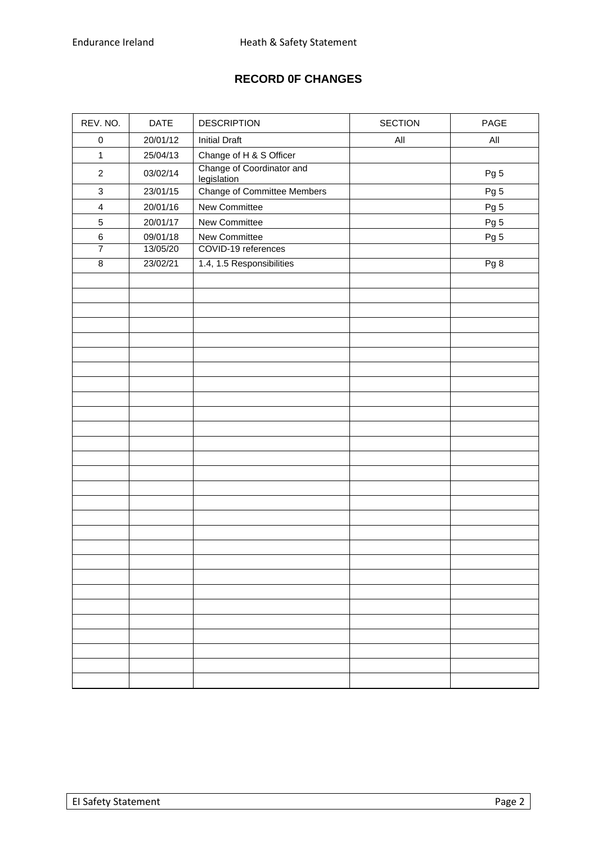## **RECORD 0F CHANGES**

| REV. NO.                  | DATE     | <b>DESCRIPTION</b>                       | <b>SECTION</b> | PAGE |
|---------------------------|----------|------------------------------------------|----------------|------|
| $\pmb{0}$                 | 20/01/12 | <b>Initial Draft</b>                     | All            | All  |
| $\mathbf{1}$              | 25/04/13 | Change of H & S Officer                  |                |      |
| $\sqrt{2}$                | 03/02/14 | Change of Coordinator and<br>legislation |                | Pg 5 |
| $\ensuremath{\mathsf{3}}$ | 23/01/15 | <b>Change of Committee Members</b>       |                | Pg 5 |
| $\overline{4}$            | 20/01/16 | New Committee                            |                | Pg 5 |
| $\mathbf 5$               | 20/01/17 | New Committee                            |                | Pg 5 |
| $\,6$                     | 09/01/18 | New Committee                            |                | Pg 5 |
| $\overline{7}$            | 13/05/20 | COVID-19 references                      |                |      |
| $\overline{8}$            | 23/02/21 | 1.4, 1.5 Responsibilities                |                | Pg 8 |
|                           |          |                                          |                |      |
|                           |          |                                          |                |      |
|                           |          |                                          |                |      |
|                           |          |                                          |                |      |
|                           |          |                                          |                |      |
|                           |          |                                          |                |      |
|                           |          |                                          |                |      |
|                           |          |                                          |                |      |
|                           |          |                                          |                |      |
|                           |          |                                          |                |      |
|                           |          |                                          |                |      |
|                           |          |                                          |                |      |
|                           |          |                                          |                |      |
|                           |          |                                          |                |      |
|                           |          |                                          |                |      |
|                           |          |                                          |                |      |
|                           |          |                                          |                |      |
|                           |          |                                          |                |      |
|                           |          |                                          |                |      |
|                           |          |                                          |                |      |
|                           |          |                                          |                |      |
|                           |          |                                          |                |      |
|                           |          |                                          |                |      |
|                           |          |                                          |                |      |
|                           |          |                                          |                |      |
|                           |          |                                          |                |      |
|                           |          |                                          |                |      |
|                           |          |                                          |                |      |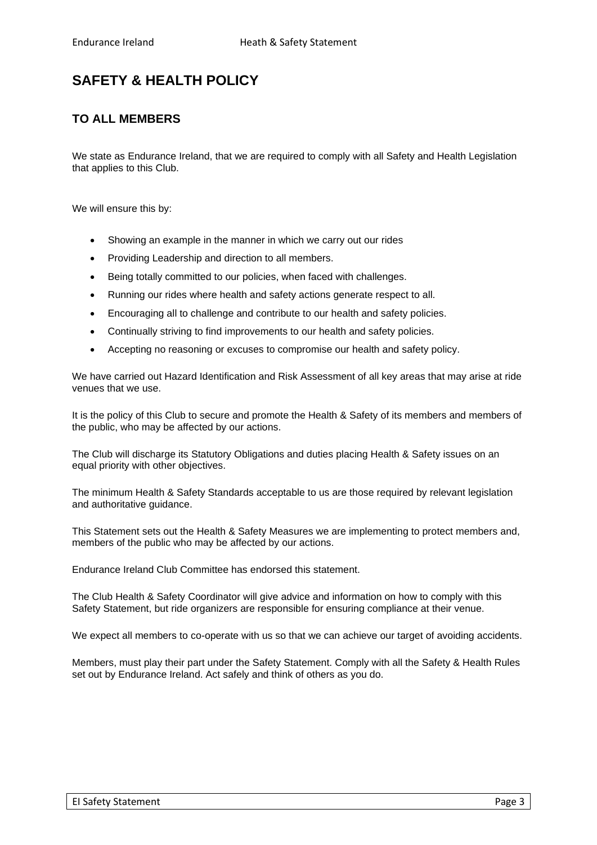# **SAFETY & HEALTH POLICY**

## **TO ALL MEMBERS**

We state as Endurance Ireland, that we are required to comply with all Safety and Health Legislation that applies to this Club.

We will ensure this by:

- Showing an example in the manner in which we carry out our rides
- Providing Leadership and direction to all members.
- Being totally committed to our policies, when faced with challenges.
- Running our rides where health and safety actions generate respect to all.
- Encouraging all to challenge and contribute to our health and safety policies.
- Continually striving to find improvements to our health and safety policies.
- Accepting no reasoning or excuses to compromise our health and safety policy.

We have carried out Hazard Identification and Risk Assessment of all key areas that may arise at ride venues that we use.

It is the policy of this Club to secure and promote the Health & Safety of its members and members of the public, who may be affected by our actions.

The Club will discharge its Statutory Obligations and duties placing Health & Safety issues on an equal priority with other objectives.

The minimum Health & Safety Standards acceptable to us are those required by relevant legislation and authoritative guidance.

This Statement sets out the Health & Safety Measures we are implementing to protect members and, members of the public who may be affected by our actions.

Endurance Ireland Club Committee has endorsed this statement.

The Club Health & Safety Coordinator will give advice and information on how to comply with this Safety Statement, but ride organizers are responsible for ensuring compliance at their venue.

We expect all members to co-operate with us so that we can achieve our target of avoiding accidents.

Members, must play their part under the Safety Statement. Comply with all the Safety & Health Rules set out by Endurance Ireland. Act safely and think of others as you do.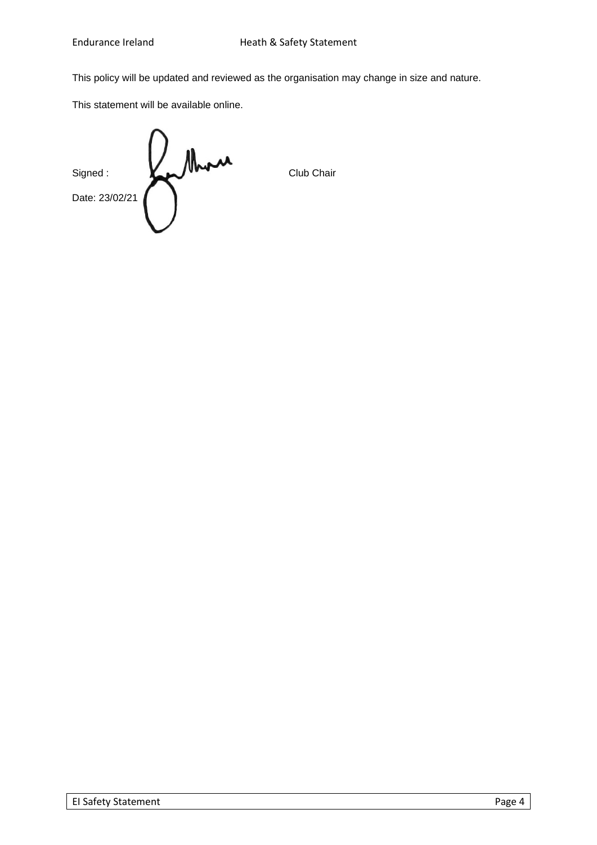This policy will be updated and reviewed as the organisation may change in size and nature.

This statement will be available online.

Signed :<br>Date: 23/02/21 Date: 23/02/21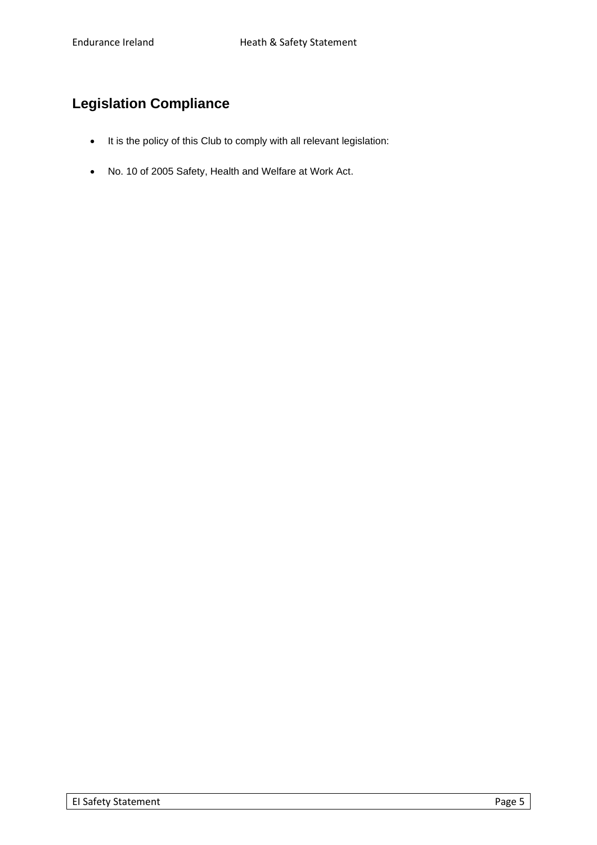# **Legislation Compliance**

- It is the policy of this Club to comply with all relevant legislation:
- No. 10 of 2005 Safety, Health and Welfare at Work Act.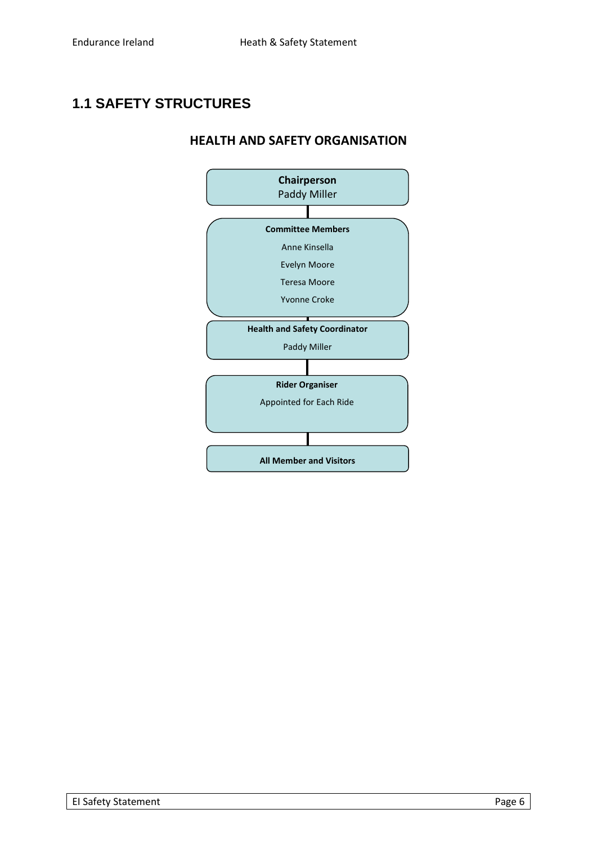# **1.1 SAFETY STRUCTURES**

## **HEALTH AND SAFETY ORGANISATION**

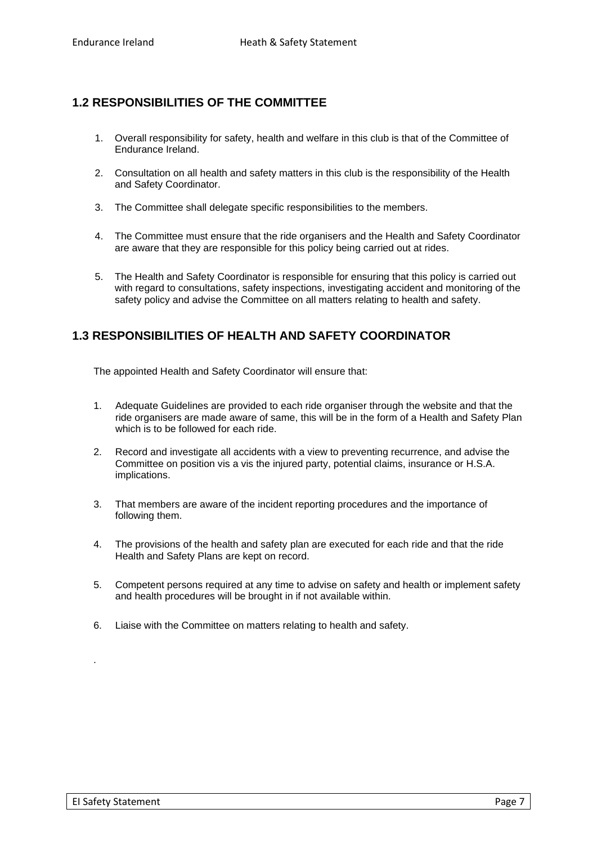## **1.2 RESPONSIBILITIES OF THE COMMITTEE**

- 1. Overall responsibility for safety, health and welfare in this club is that of the Committee of Endurance Ireland.
- 2. Consultation on all health and safety matters in this club is the responsibility of the Health and Safety Coordinator.
- 3. The Committee shall delegate specific responsibilities to the members.
- 4. The Committee must ensure that the ride organisers and the Health and Safety Coordinator are aware that they are responsible for this policy being carried out at rides.
- 5. The Health and Safety Coordinator is responsible for ensuring that this policy is carried out with regard to consultations, safety inspections, investigating accident and monitoring of the safety policy and advise the Committee on all matters relating to health and safety.

## **1.3 RESPONSIBILITIES OF HEALTH AND SAFETY COORDINATOR**

The appointed Health and Safety Coordinator will ensure that:

- 1. Adequate Guidelines are provided to each ride organiser through the website and that the ride organisers are made aware of same, this will be in the form of a Health and Safety Plan which is to be followed for each ride.
- 2. Record and investigate all accidents with a view to preventing recurrence, and advise the Committee on position vis a vis the injured party, potential claims, insurance or H.S.A. implications.
- 3. That members are aware of the incident reporting procedures and the importance of following them.
- 4. The provisions of the health and safety plan are executed for each ride and that the ride Health and Safety Plans are kept on record.
- 5. Competent persons required at any time to advise on safety and health or implement safety and health procedures will be brought in if not available within.
- 6. Liaise with the Committee on matters relating to health and safety.

.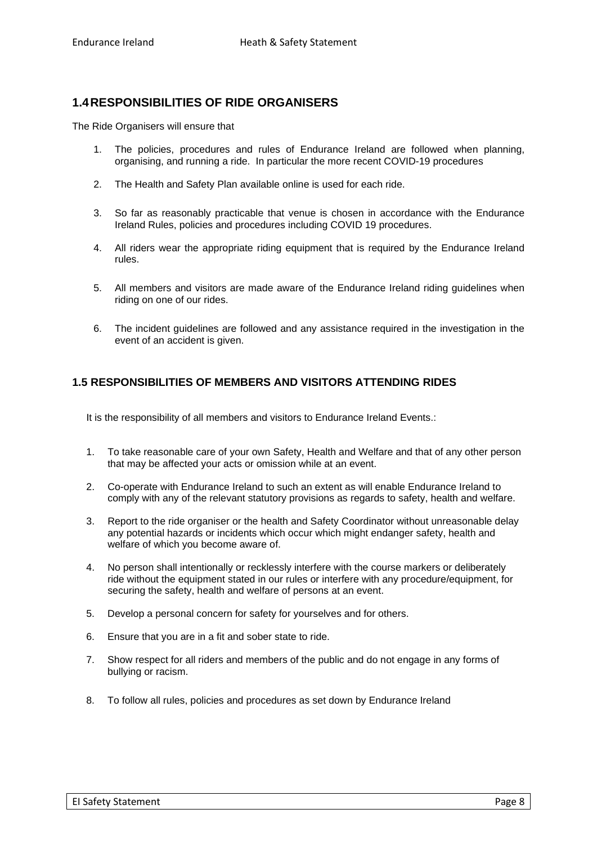## **1.4RESPONSIBILITIES OF RIDE ORGANISERS**

The Ride Organisers will ensure that

- 1. The policies, procedures and rules of Endurance Ireland are followed when planning, organising, and running a ride. In particular the more recent COVID-19 procedures
- 2. The Health and Safety Plan available online is used for each ride.
- 3. So far as reasonably practicable that venue is chosen in accordance with the Endurance Ireland Rules, policies and procedures including COVID 19 procedures.
- 4. All riders wear the appropriate riding equipment that is required by the Endurance Ireland rules.
- 5. All members and visitors are made aware of the Endurance Ireland riding guidelines when riding on one of our rides.
- 6. The incident guidelines are followed and any assistance required in the investigation in the event of an accident is given.

## **1.5 RESPONSIBILITIES OF MEMBERS AND VISITORS ATTENDING RIDES**

It is the responsibility of all members and visitors to Endurance Ireland Events.:

- 1. To take reasonable care of your own Safety, Health and Welfare and that of any other person that may be affected your acts or omission while at an event.
- 2. Co-operate with Endurance Ireland to such an extent as will enable Endurance Ireland to comply with any of the relevant statutory provisions as regards to safety, health and welfare.
- 3. Report to the ride organiser or the health and Safety Coordinator without unreasonable delay any potential hazards or incidents which occur which might endanger safety, health and welfare of which you become aware of.
- 4. No person shall intentionally or recklessly interfere with the course markers or deliberately ride without the equipment stated in our rules or interfere with any procedure/equipment, for securing the safety, health and welfare of persons at an event.
- 5. Develop a personal concern for safety for yourselves and for others.
- 6. Ensure that you are in a fit and sober state to ride.
- 7. Show respect for all riders and members of the public and do not engage in any forms of bullying or racism.
- 8. To follow all rules, policies and procedures as set down by Endurance Ireland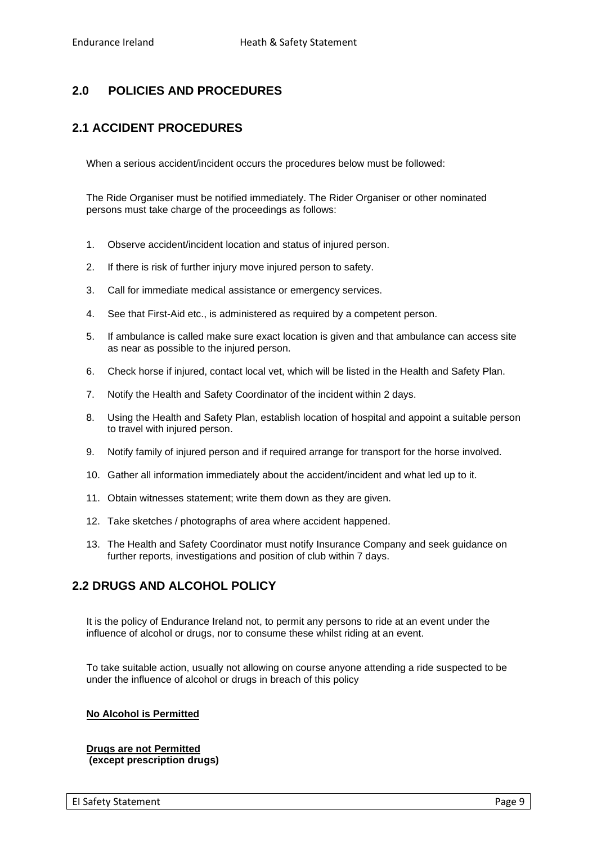## **2.0 POLICIES AND PROCEDURES**

## **2.1 ACCIDENT PROCEDURES**

When a serious accident/incident occurs the procedures below must be followed:

The Ride Organiser must be notified immediately. The Rider Organiser or other nominated persons must take charge of the proceedings as follows:

- 1. Observe accident/incident location and status of injured person.
- 2. If there is risk of further injury move injured person to safety.
- 3. Call for immediate medical assistance or emergency services.
- 4. See that First-Aid etc., is administered as required by a competent person.
- 5. If ambulance is called make sure exact location is given and that ambulance can access site as near as possible to the injured person.
- 6. Check horse if injured, contact local vet, which will be listed in the Health and Safety Plan.
- 7. Notify the Health and Safety Coordinator of the incident within 2 days.
- 8. Using the Health and Safety Plan, establish location of hospital and appoint a suitable person to travel with injured person.
- 9. Notify family of injured person and if required arrange for transport for the horse involved.
- 10. Gather all information immediately about the accident/incident and what led up to it.
- 11. Obtain witnesses statement; write them down as they are given.
- 12. Take sketches / photographs of area where accident happened.
- 13. The Health and Safety Coordinator must notify Insurance Company and seek guidance on further reports, investigations and position of club within 7 days.

## **2.2 DRUGS AND ALCOHOL POLICY**

It is the policy of Endurance Ireland not, to permit any persons to ride at an event under the influence of alcohol or drugs, nor to consume these whilst riding at an event.

To take suitable action, usually not allowing on course anyone attending a ride suspected to be under the influence of alcohol or drugs in breach of this policy

#### **No Alcohol is Permitted**

**Drugs are not Permitted (except prescription drugs)**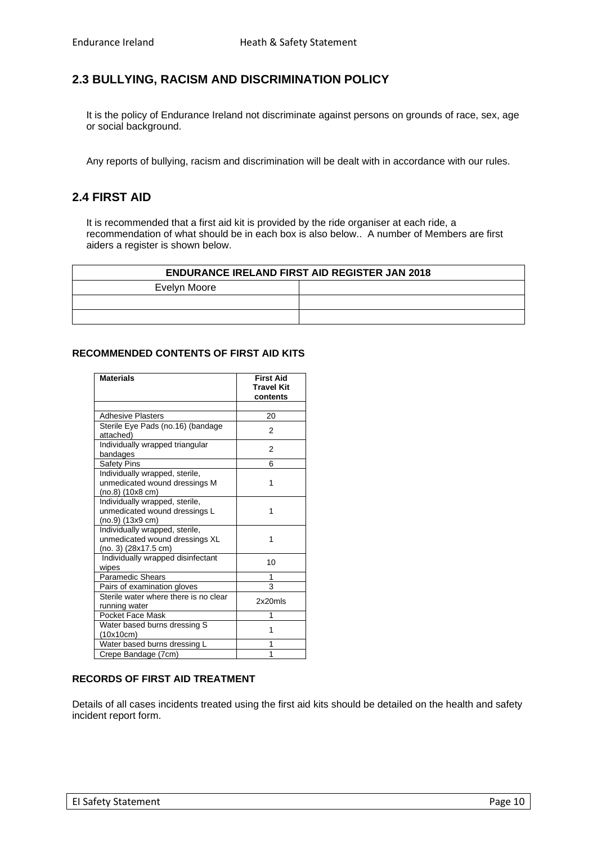## **2.3 BULLYING, RACISM AND DISCRIMINATION POLICY**

It is the policy of Endurance Ireland not discriminate against persons on grounds of race, sex, age or social background.

Any reports of bullying, racism and discrimination will be dealt with in accordance with our rules.

## **2.4 FIRST AID**

It is recommended that a first aid kit is provided by the ride organiser at each ride, a recommendation of what should be in each box is also below.. A number of Members are first aiders a register is shown below.

| <b>ENDURANCE IRELAND FIRST AID REGISTER JAN 2018</b> |  |  |  |  |  |
|------------------------------------------------------|--|--|--|--|--|
| Evelyn Moore                                         |  |  |  |  |  |
|                                                      |  |  |  |  |  |
|                                                      |  |  |  |  |  |

#### **RECOMMENDED CONTENTS OF FIRST AID KITS**

| <b>Materials</b>                                                                           | <b>First Aid</b><br><b>Travel Kit</b><br>contents |
|--------------------------------------------------------------------------------------------|---------------------------------------------------|
|                                                                                            |                                                   |
| <b>Adhesive Plasters</b>                                                                   | 20                                                |
| Sterile Eye Pads (no.16) (bandage<br>attached)                                             | 2                                                 |
| Individually wrapped triangular<br>bandages                                                | 2                                                 |
| Safety Pins                                                                                | 6                                                 |
| Individually wrapped, sterile,<br>unmedicated wound dressings M<br>(no.8) (10x8 cm)        | 1                                                 |
| Individually wrapped, sterile,<br>unmedicated wound dressings L<br>$(no.9)$ $(13x9$ cm $)$ | 1                                                 |
| Individually wrapped, sterile,<br>unmedicated wound dressings XL<br>(no. 3) (28x17.5 cm)   | 1                                                 |
| Individually wrapped disinfectant<br>wipes                                                 | 10                                                |
| Paramedic Shears                                                                           | 1                                                 |
| Pairs of examination gloves                                                                | 3                                                 |
| Sterile water where there is no clear<br>running water                                     | 2x20mls                                           |
| Pocket Face Mask                                                                           | 1                                                 |
| Water based burns dressing S<br>(10x10cm)                                                  | 1                                                 |
| Water based burns dressing L                                                               | 1                                                 |
| Crepe Bandage (7cm)                                                                        | 1                                                 |

#### **RECORDS OF FIRST AID TREATMENT**

Details of all cases incidents treated using the first aid kits should be detailed on the health and safety incident report form.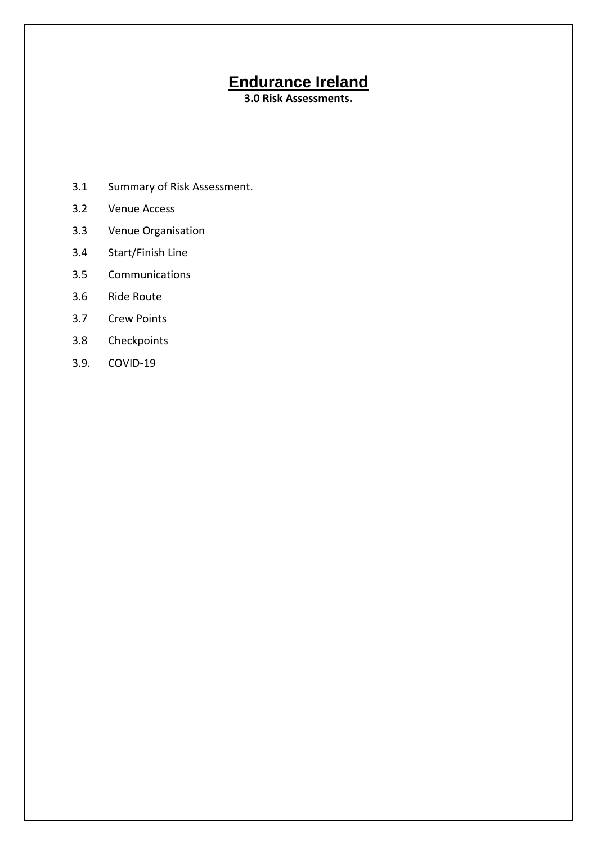# **Endurance Ireland**

**3.0 Risk Assessments.**

- 3.1 Summary of Risk Assessment.
- 3.2 Venue Access
- 3.3 Venue Organisation
- 3.4 Start/Finish Line
- 3.5 Communications
- 3.6 Ride Route
- 3.7 Crew Points
- 3.8 Checkpoints
- 3.9. COVID-19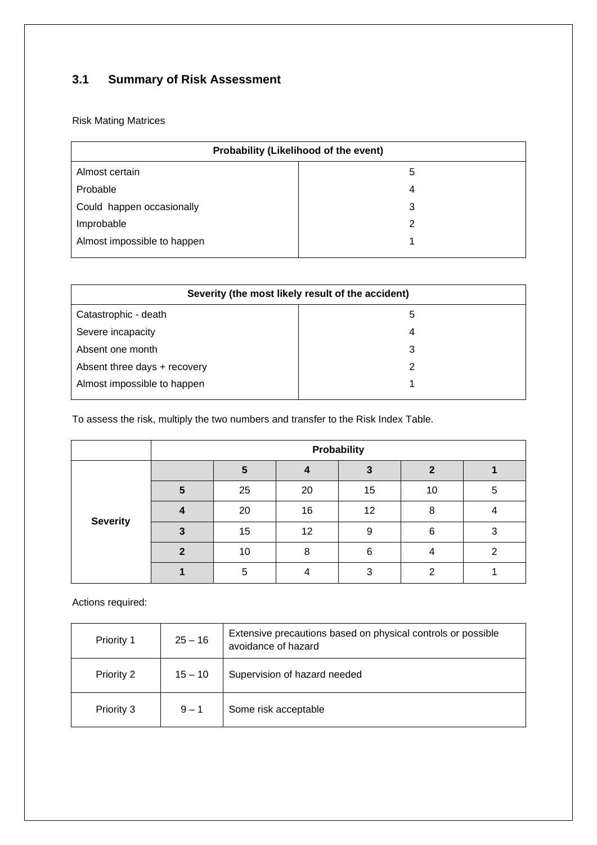## **3.1 Summary of Risk Assessment**

Risk Mating Matrices

| Probability (Likelihood of the event) |   |  |  |  |
|---------------------------------------|---|--|--|--|
| Almost certain                        | 5 |  |  |  |
| Probable                              | 4 |  |  |  |
| Could happen occasionally             | 3 |  |  |  |
| Improbable                            | 2 |  |  |  |
| Almost impossible to happen           |   |  |  |  |

| Severity (the most likely result of the accident) |   |  |  |  |
|---------------------------------------------------|---|--|--|--|
| Catastrophic - death                              | 5 |  |  |  |
| Severe incapacity                                 | 4 |  |  |  |
| Absent one month                                  | 3 |  |  |  |
| Absent three days + recovery                      | 2 |  |  |  |
| Almost impossible to happen                       |   |  |  |  |

To assess the risk, multiply the two numbers and transfer to the Risk Index Table.

|                 | Probability |    |    |    |    |   |  |  |  |
|-----------------|-------------|----|----|----|----|---|--|--|--|
|                 |             | 5  |    |    | ŋ  |   |  |  |  |
| <b>Severity</b> | 5           | 25 | 20 | 15 | 10 | 5 |  |  |  |
|                 |             | 20 | 16 | 12 | 8  |   |  |  |  |
|                 |             | 15 | 12 | 9  | 6  |   |  |  |  |
|                 |             | 10 | 8  | 6  |    |   |  |  |  |
|                 |             | 5  |    |    | ◠  |   |  |  |  |

Actions required:

| Priority 1 | $25 - 16$ | Extensive precautions based on physical controls or possible<br>avoidance of hazard |
|------------|-----------|-------------------------------------------------------------------------------------|
| Priority 2 | $15 - 10$ | Supervision of hazard needed                                                        |
| Priority 3 | $9 - 1$   | Some risk acceptable                                                                |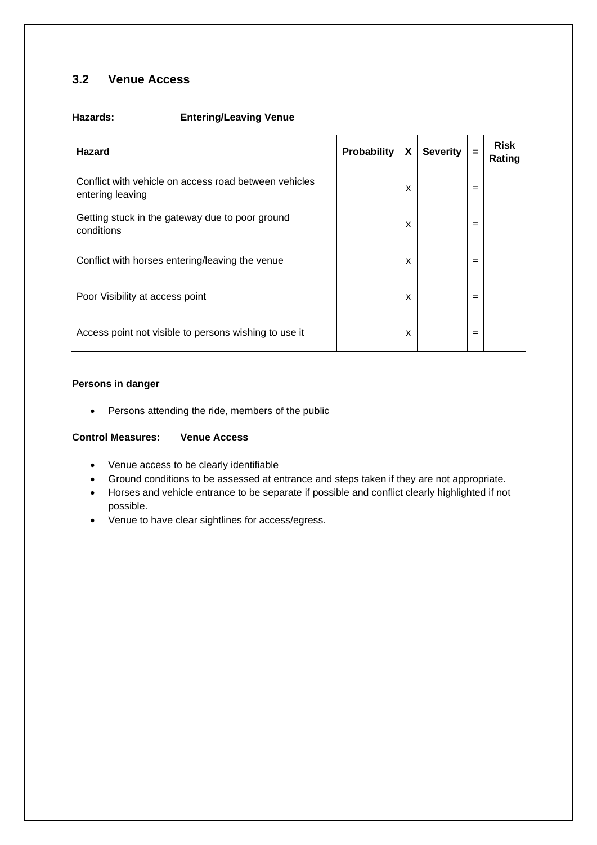## **3.2 Venue Access**

#### **Hazards: Entering/Leaving Venue**

| <b>Hazard</b>                                                             | <b>Probability</b> | X | <b>Severity</b> | $=$ | <b>Risk</b><br>Rating |
|---------------------------------------------------------------------------|--------------------|---|-----------------|-----|-----------------------|
| Conflict with vehicle on access road between vehicles<br>entering leaving |                    | X |                 | $=$ |                       |
| Getting stuck in the gateway due to poor ground<br>conditions             |                    | x |                 | =   |                       |
| Conflict with horses entering/leaving the venue                           |                    | x |                 | =   |                       |
| Poor Visibility at access point                                           |                    | x |                 | =   |                       |
| Access point not visible to persons wishing to use it                     |                    | x |                 | =   |                       |

#### **Persons in danger**

• Persons attending the ride, members of the public

#### **Control Measures: Venue Access**

- Venue access to be clearly identifiable
- Ground conditions to be assessed at entrance and steps taken if they are not appropriate.
- Horses and vehicle entrance to be separate if possible and conflict clearly highlighted if not possible.
- Venue to have clear sightlines for access/egress.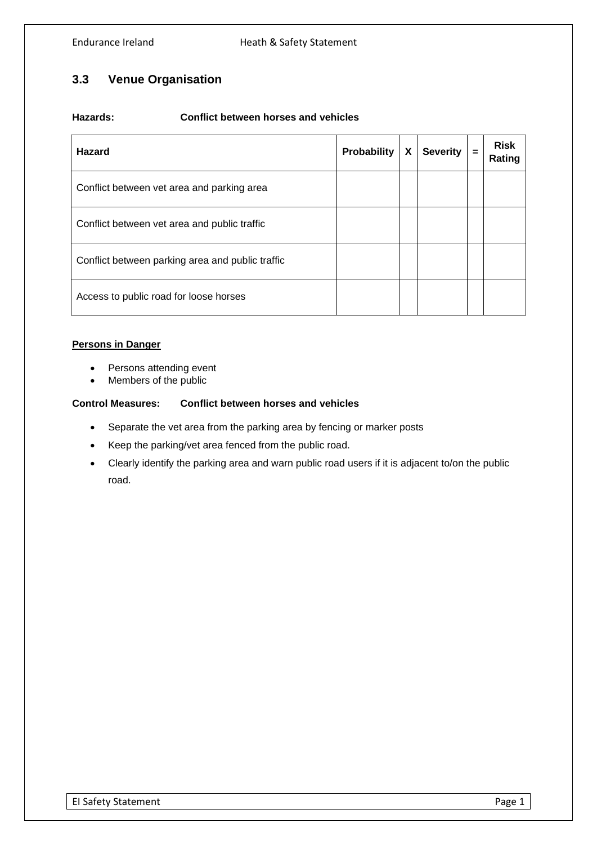## **3.3 Venue Organisation**

#### **Hazards: Conflict between horses and vehicles**

| <b>Hazard</b>                                    | Probability | χ | <b>Severity</b> | $=$ | <b>Risk</b><br>Rating |
|--------------------------------------------------|-------------|---|-----------------|-----|-----------------------|
| Conflict between vet area and parking area       |             |   |                 |     |                       |
| Conflict between vet area and public traffic     |             |   |                 |     |                       |
| Conflict between parking area and public traffic |             |   |                 |     |                       |
| Access to public road for loose horses           |             |   |                 |     |                       |

#### **Persons in Danger**

- Persons attending event
- Members of the public

## **Control Measures: Conflict between horses and vehicles**

- Separate the vet area from the parking area by fencing or marker posts
- Keep the parking/vet area fenced from the public road.
- Clearly identify the parking area and warn public road users if it is adjacent to/on the public road.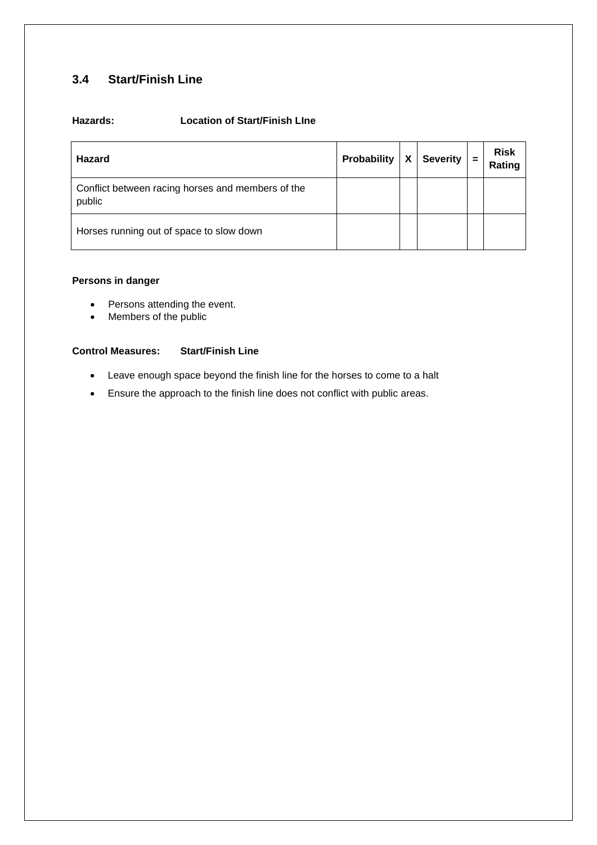## **3.4 Start/Finish Line**

## **Hazards: Location of Start/Finish LIne**

| <b>Hazard</b>                                               | Probability | X | <b>Severity</b> | $\equiv$ | <b>Risk</b><br>Rating |
|-------------------------------------------------------------|-------------|---|-----------------|----------|-----------------------|
| Conflict between racing horses and members of the<br>public |             |   |                 |          |                       |
| Horses running out of space to slow down                    |             |   |                 |          |                       |

#### **Persons in danger**

- Persons attending the event.
- Members of the public

#### **Control Measures: Start/Finish Line**

- Leave enough space beyond the finish line for the horses to come to a halt
- Ensure the approach to the finish line does not conflict with public areas.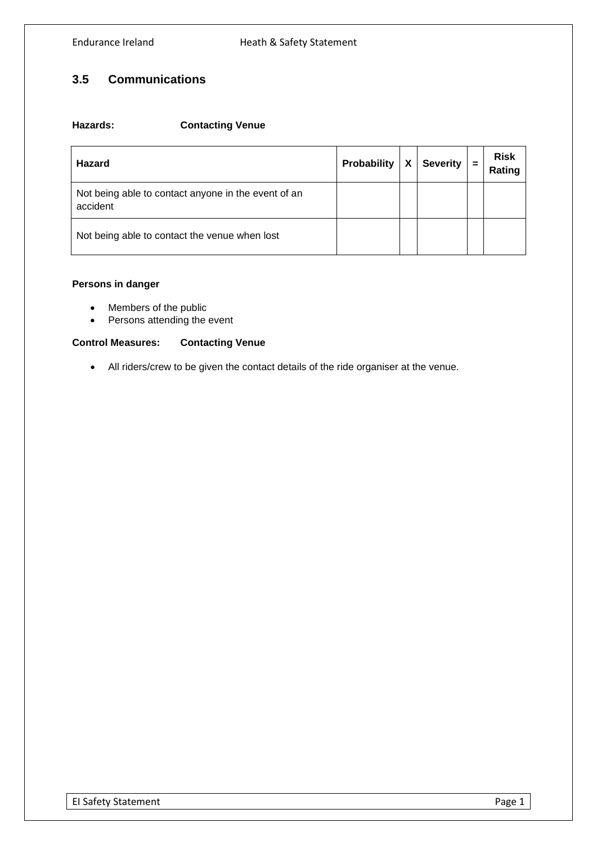## **3.5 Communications**

#### **Hazards: Contacting Venue**

| <b>Hazard</b>                                                   | Probability | χ | <b>Severity</b> | $=$ | <b>Risk</b><br>Rating |
|-----------------------------------------------------------------|-------------|---|-----------------|-----|-----------------------|
| Not being able to contact anyone in the event of an<br>accident |             |   |                 |     |                       |
| Not being able to contact the venue when lost                   |             |   |                 |     |                       |

#### **Persons in danger**

- Members of the public
- Persons attending the event

#### **Control Measures: Contacting Venue**

• All riders/crew to be given the contact details of the ride organiser at the venue.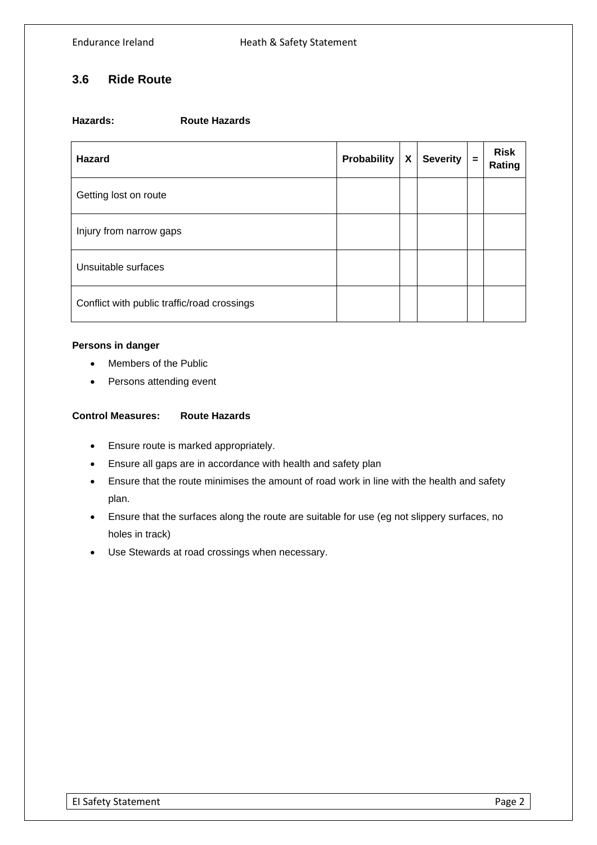## **3.6 Ride Route**

| Hazards: | <b>Route Hazards</b> |
|----------|----------------------|
|          |                      |

| <b>Hazard</b>                               | Probability | X | <b>Severity</b> | $\equiv$ | <b>Risk</b><br>Rating |
|---------------------------------------------|-------------|---|-----------------|----------|-----------------------|
| Getting lost on route                       |             |   |                 |          |                       |
| Injury from narrow gaps                     |             |   |                 |          |                       |
| Unsuitable surfaces                         |             |   |                 |          |                       |
| Conflict with public traffic/road crossings |             |   |                 |          |                       |

#### **Persons in danger**

- Members of the Public
- Persons attending event

#### **Control Measures: Route Hazards**

- Ensure route is marked appropriately.
- Ensure all gaps are in accordance with health and safety plan
- Ensure that the route minimises the amount of road work in line with the health and safety plan.
- Ensure that the surfaces along the route are suitable for use (eg not slippery surfaces, no holes in track)
- Use Stewards at road crossings when necessary.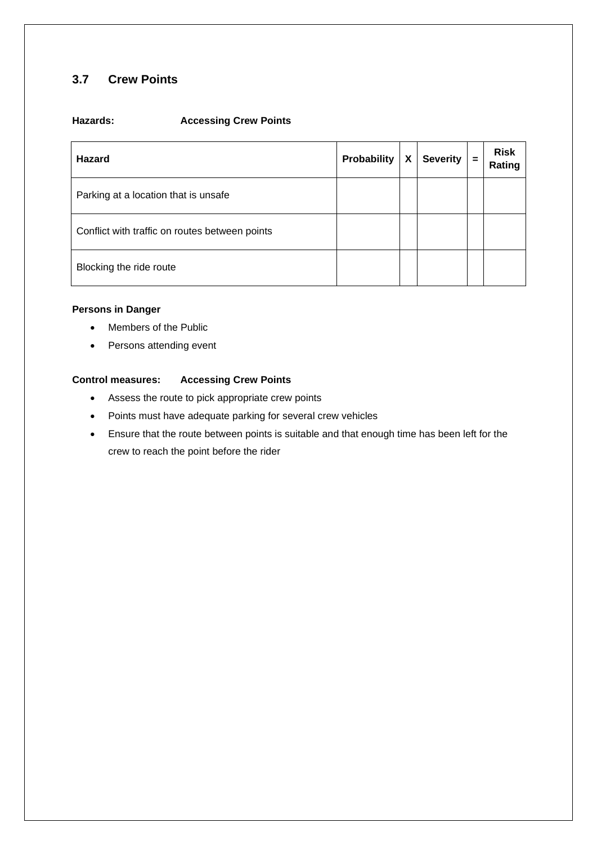## **3.7 Crew Points**

#### **Hazards: Accessing Crew Points**

| <b>Hazard</b>                                  | <b>Probability</b> | X | <b>Severity</b> | $=$ | <b>Risk</b><br>Rating |
|------------------------------------------------|--------------------|---|-----------------|-----|-----------------------|
| Parking at a location that is unsafe           |                    |   |                 |     |                       |
| Conflict with traffic on routes between points |                    |   |                 |     |                       |
| Blocking the ride route                        |                    |   |                 |     |                       |

#### **Persons in Danger**

- Members of the Public
- Persons attending event

#### **Control measures: Accessing Crew Points**

- Assess the route to pick appropriate crew points
- Points must have adequate parking for several crew vehicles
- Ensure that the route between points is suitable and that enough time has been left for the crew to reach the point before the rider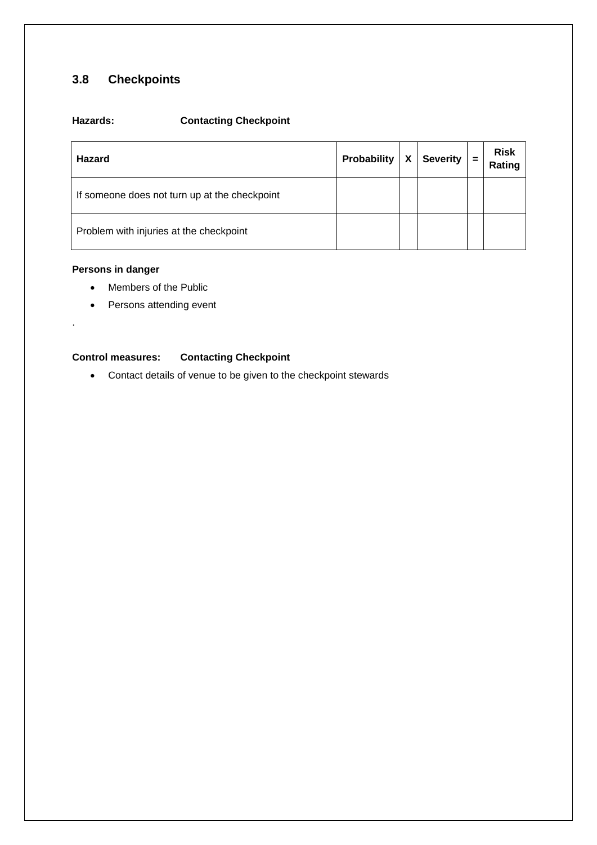## **3.8 Checkpoints**

## **Hazards: Contacting Checkpoint**

| <b>Hazard</b>                                 | Probability | χ | <b>Severity</b> | $=$ | <b>Risk</b><br>Rating |
|-----------------------------------------------|-------------|---|-----------------|-----|-----------------------|
| If someone does not turn up at the checkpoint |             |   |                 |     |                       |
| Problem with injuries at the checkpoint       |             |   |                 |     |                       |

#### **Persons in danger**

.

- Members of the Public
- Persons attending event

#### **Control measures: Contacting Checkpoint**

• Contact details of venue to be given to the checkpoint stewards